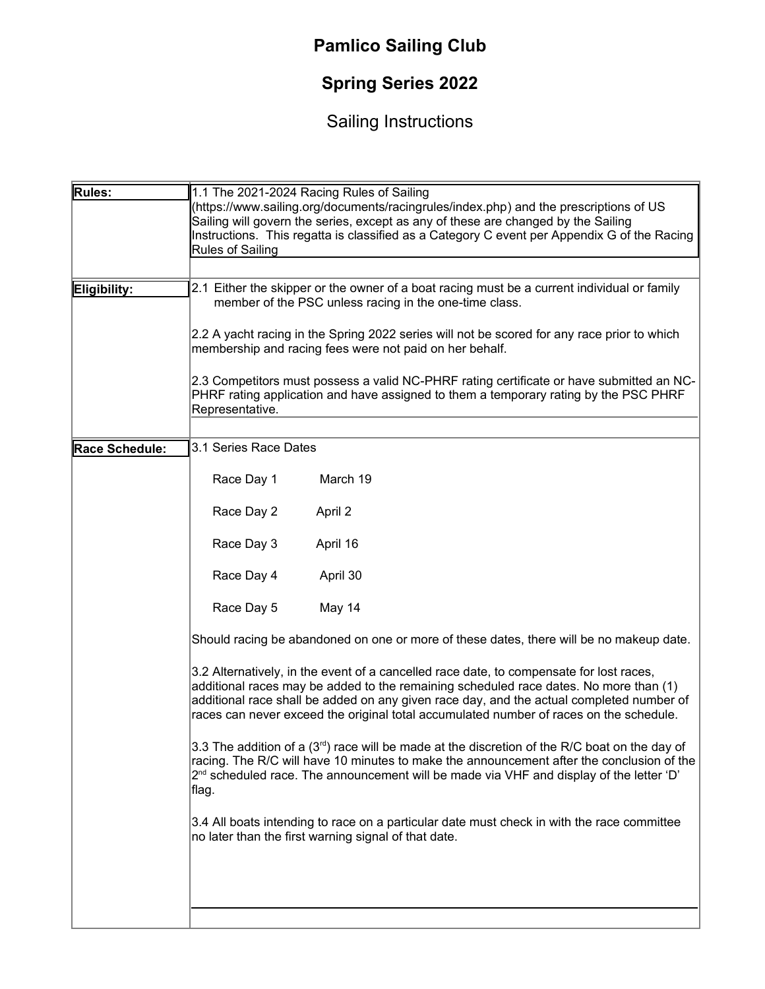## **Pamlico Sailing Club**

## **Spring Series 2022**

## Sailing Instructions

| Rules:         | 1.1 The 2021-2024 Racing Rules of Sailing                                                                                                                                                                                                                                                                                                                              |
|----------------|------------------------------------------------------------------------------------------------------------------------------------------------------------------------------------------------------------------------------------------------------------------------------------------------------------------------------------------------------------------------|
|                | (https://www.sailing.org/documents/racingrules/index.php) and the prescriptions of US                                                                                                                                                                                                                                                                                  |
|                | Sailing will govern the series, except as any of these are changed by the Sailing                                                                                                                                                                                                                                                                                      |
|                | Instructions. This regatta is classified as a Category C event per Appendix G of the Racing                                                                                                                                                                                                                                                                            |
|                | <b>Rules of Sailing</b>                                                                                                                                                                                                                                                                                                                                                |
|                |                                                                                                                                                                                                                                                                                                                                                                        |
| Eligibility:   | 2.1 Either the skipper or the owner of a boat racing must be a current individual or family                                                                                                                                                                                                                                                                            |
|                | member of the PSC unless racing in the one-time class.                                                                                                                                                                                                                                                                                                                 |
|                | 2.2 A yacht racing in the Spring 2022 series will not be scored for any race prior to which<br>membership and racing fees were not paid on her behalf.                                                                                                                                                                                                                 |
|                | 2.3 Competitors must possess a valid NC-PHRF rating certificate or have submitted an NC-<br>PHRF rating application and have assigned to them a temporary rating by the PSC PHRF<br>Representative.                                                                                                                                                                    |
|                |                                                                                                                                                                                                                                                                                                                                                                        |
| Race Schedule: | 3.1 Series Race Dates                                                                                                                                                                                                                                                                                                                                                  |
|                | Race Day 1<br>March 19                                                                                                                                                                                                                                                                                                                                                 |
|                | Race Day 2<br>April 2                                                                                                                                                                                                                                                                                                                                                  |
|                | Race Day 3<br>April 16                                                                                                                                                                                                                                                                                                                                                 |
|                | Race Day 4<br>April 30                                                                                                                                                                                                                                                                                                                                                 |
|                | Race Day 5<br>May 14                                                                                                                                                                                                                                                                                                                                                   |
|                | Should racing be abandoned on one or more of these dates, there will be no makeup date.                                                                                                                                                                                                                                                                                |
|                | 3.2 Alternatively, in the event of a cancelled race date, to compensate for lost races,<br>additional races may be added to the remaining scheduled race dates. No more than (1)<br>additional race shall be added on any given race day, and the actual completed number of<br>races can never exceed the original total accumulated number of races on the schedule. |
|                | 3.3 The addition of a $(3rd)$ race will be made at the discretion of the R/C boat on the day of<br>racing. The R/C will have 10 minutes to make the announcement after the conclusion of the<br>$2nd$ scheduled race. The announcement will be made via VHF and display of the letter 'D'<br>∣flag.                                                                    |
|                | 3.4 All boats intending to race on a particular date must check in with the race committee<br>no later than the first warning signal of that date.                                                                                                                                                                                                                     |
|                |                                                                                                                                                                                                                                                                                                                                                                        |
|                |                                                                                                                                                                                                                                                                                                                                                                        |
|                |                                                                                                                                                                                                                                                                                                                                                                        |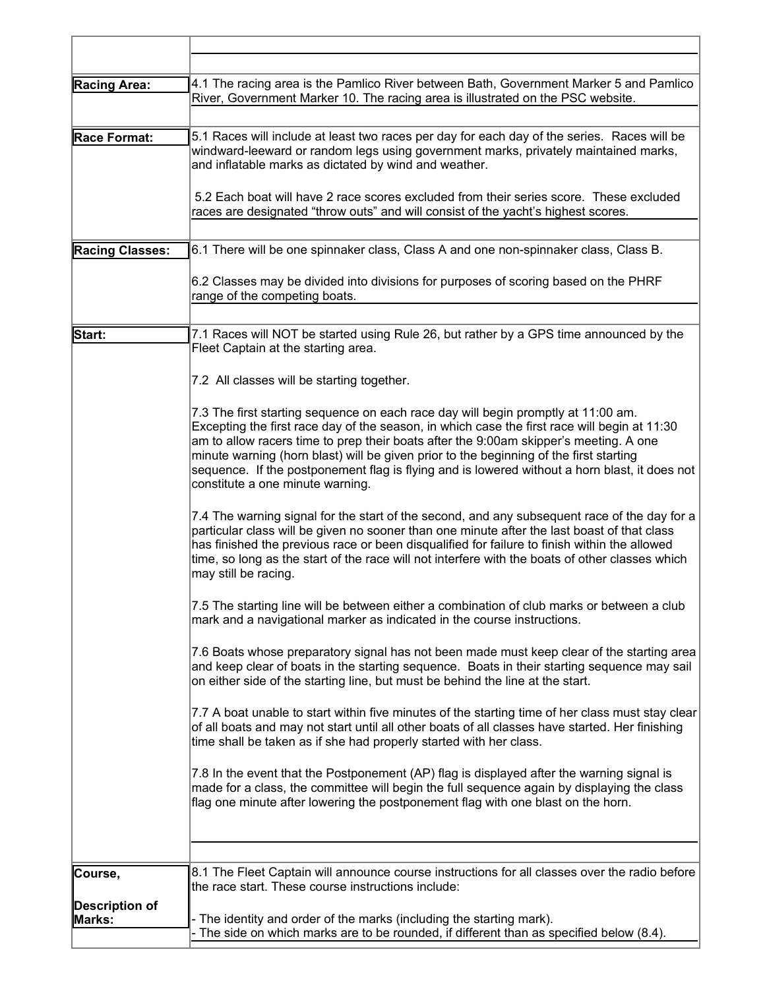| <b>Racing Area:</b>             | 4.1 The racing area is the Pamlico River between Bath, Government Marker 5 and Pamlico<br>River, Government Marker 10. The racing area is illustrated on the PSC website.                                                                                                                                                                                                                                                                                                                                 |
|---------------------------------|-----------------------------------------------------------------------------------------------------------------------------------------------------------------------------------------------------------------------------------------------------------------------------------------------------------------------------------------------------------------------------------------------------------------------------------------------------------------------------------------------------------|
| Race Format:                    | 5.1 Races will include at least two races per day for each day of the series. Races will be<br>windward-leeward or random legs using government marks, privately maintained marks,<br>and inflatable marks as dictated by wind and weather.<br>5.2 Each boat will have 2 race scores excluded from their series score. These excluded                                                                                                                                                                     |
|                                 | races are designated "throw outs" and will consist of the yacht's highest scores.                                                                                                                                                                                                                                                                                                                                                                                                                         |
| <b>Racing Classes:</b>          | 6.1 There will be one spinnaker class, Class A and one non-spinnaker class, Class B.                                                                                                                                                                                                                                                                                                                                                                                                                      |
|                                 | 6.2 Classes may be divided into divisions for purposes of scoring based on the PHRF<br>range of the competing boats.                                                                                                                                                                                                                                                                                                                                                                                      |
| Start:                          | 7.1 Races will NOT be started using Rule 26, but rather by a GPS time announced by the<br>Fleet Captain at the starting area.                                                                                                                                                                                                                                                                                                                                                                             |
|                                 | 7.2 All classes will be starting together.                                                                                                                                                                                                                                                                                                                                                                                                                                                                |
|                                 | 7.3 The first starting sequence on each race day will begin promptly at 11:00 am.<br>Excepting the first race day of the season, in which case the first race will begin at 11:30<br>am to allow racers time to prep their boats after the 9:00am skipper's meeting. A one<br>minute warning (horn blast) will be given prior to the beginning of the first starting<br>sequence. If the postponement flag is flying and is lowered without a horn blast, it does not<br>constitute a one minute warning. |
|                                 | 7.4 The warning signal for the start of the second, and any subsequent race of the day for a<br>particular class will be given no sooner than one minute after the last boast of that class<br>has finished the previous race or been disqualified for failure to finish within the allowed<br>time, so long as the start of the race will not interfere with the boats of other classes which<br>may still be racing.                                                                                    |
|                                 | 7.5 The starting line will be between either a combination of club marks or between a club<br>mark and a navigational marker as indicated in the course instructions.                                                                                                                                                                                                                                                                                                                                     |
|                                 | 7.6 Boats whose preparatory signal has not been made must keep clear of the starting area<br>and keep clear of boats in the starting sequence. Boats in their starting sequence may sail<br>on either side of the starting line, but must be behind the line at the start.                                                                                                                                                                                                                                |
|                                 | 7.7 A boat unable to start within five minutes of the starting time of her class must stay clear<br>of all boats and may not start until all other boats of all classes have started. Her finishing<br>time shall be taken as if she had properly started with her class.                                                                                                                                                                                                                                 |
|                                 | 7.8 In the event that the Postponement (AP) flag is displayed after the warning signal is<br>made for a class, the committee will begin the full sequence again by displaying the class<br>flag one minute after lowering the postponement flag with one blast on the horn.                                                                                                                                                                                                                               |
| Course,                         | 8.1 The Fleet Captain will announce course instructions for all classes over the radio before<br>the race start. These course instructions include:                                                                                                                                                                                                                                                                                                                                                       |
| <b>Description of</b><br>Marks: | - The identity and order of the marks (including the starting mark).                                                                                                                                                                                                                                                                                                                                                                                                                                      |
|                                 | The side on which marks are to be rounded, if different than as specified below (8.4).                                                                                                                                                                                                                                                                                                                                                                                                                    |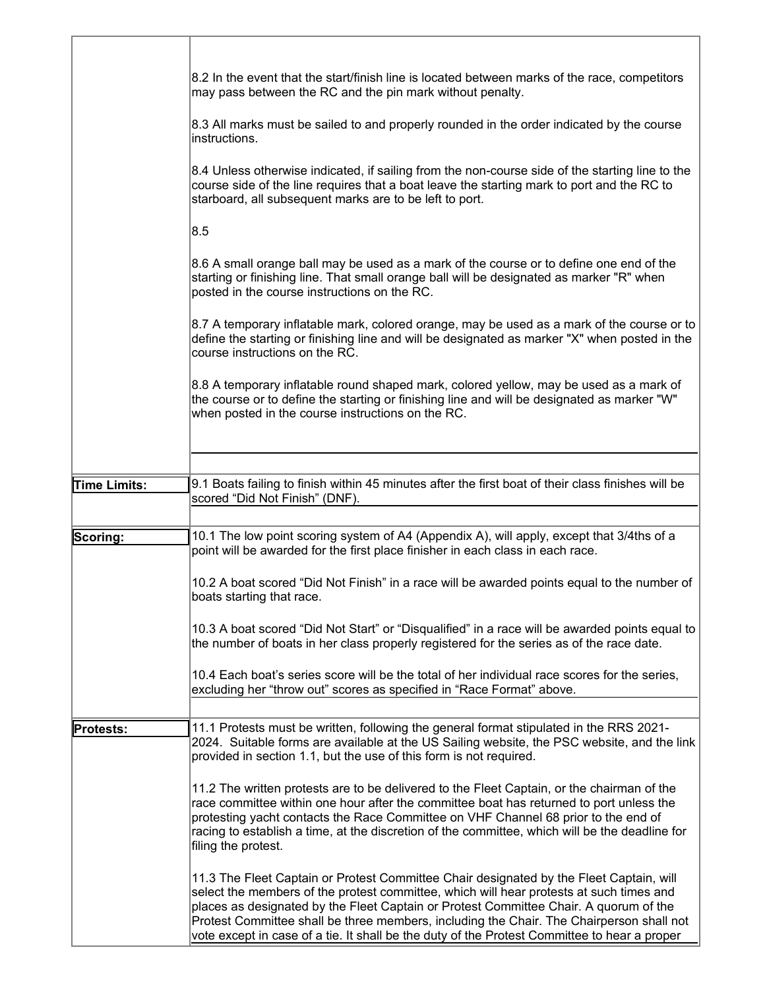|                  | 8.2 In the event that the start/finish line is located between marks of the race, competitors<br>may pass between the RC and the pin mark without penalty.                                                                                                                                                                                                                                                                                                              |
|------------------|-------------------------------------------------------------------------------------------------------------------------------------------------------------------------------------------------------------------------------------------------------------------------------------------------------------------------------------------------------------------------------------------------------------------------------------------------------------------------|
|                  | 8.3 All marks must be sailed to and properly rounded in the order indicated by the course<br>instructions.                                                                                                                                                                                                                                                                                                                                                              |
|                  | 8.4 Unless otherwise indicated, if sailing from the non-course side of the starting line to the<br>course side of the line requires that a boat leave the starting mark to port and the RC to<br>starboard, all subsequent marks are to be left to port.                                                                                                                                                                                                                |
|                  | 8.5                                                                                                                                                                                                                                                                                                                                                                                                                                                                     |
|                  | 8.6 A small orange ball may be used as a mark of the course or to define one end of the<br>starting or finishing line. That small orange ball will be designated as marker "R" when<br>posted in the course instructions on the RC.                                                                                                                                                                                                                                     |
|                  | 8.7 A temporary inflatable mark, colored orange, may be used as a mark of the course or to<br>define the starting or finishing line and will be designated as marker "X" when posted in the<br>course instructions on the RC.                                                                                                                                                                                                                                           |
|                  | 8.8 A temporary inflatable round shaped mark, colored yellow, may be used as a mark of<br>the course or to define the starting or finishing line and will be designated as marker "W"<br>when posted in the course instructions on the RC.                                                                                                                                                                                                                              |
|                  |                                                                                                                                                                                                                                                                                                                                                                                                                                                                         |
| Time Limits:     | 9.1 Boats failing to finish within 45 minutes after the first boat of their class finishes will be<br>scored "Did Not Finish" (DNF).                                                                                                                                                                                                                                                                                                                                    |
|                  |                                                                                                                                                                                                                                                                                                                                                                                                                                                                         |
| Scoring:         | 10.1 The low point scoring system of A4 (Appendix A), will apply, except that 3/4ths of a<br>point will be awarded for the first place finisher in each class in each race.                                                                                                                                                                                                                                                                                             |
|                  | 10.2 A boat scored "Did Not Finish" in a race will be awarded points equal to the number of<br>boats starting that race.                                                                                                                                                                                                                                                                                                                                                |
|                  | 10.3 A boat scored "Did Not Start" or "Disqualified" in a race will be awarded points equal to<br>the number of boats in her class properly registered for the series as of the race date.                                                                                                                                                                                                                                                                              |
|                  | 10.4 Each boat's series score will be the total of her individual race scores for the series,<br>excluding her "throw out" scores as specified in "Race Format" above.                                                                                                                                                                                                                                                                                                  |
|                  |                                                                                                                                                                                                                                                                                                                                                                                                                                                                         |
| <b>Protests:</b> | 11.1 Protests must be written, following the general format stipulated in the RRS 2021-<br>2024. Suitable forms are available at the US Sailing website, the PSC website, and the link<br>provided in section 1.1, but the use of this form is not required.                                                                                                                                                                                                            |
|                  | 11.2 The written protests are to be delivered to the Fleet Captain, or the chairman of the<br>race committee within one hour after the committee boat has returned to port unless the<br>protesting yacht contacts the Race Committee on VHF Channel 68 prior to the end of<br>racing to establish a time, at the discretion of the committee, which will be the deadline for<br>filing the protest.                                                                    |
|                  | 11.3 The Fleet Captain or Protest Committee Chair designated by the Fleet Captain, will<br>select the members of the protest committee, which will hear protests at such times and<br>places as designated by the Fleet Captain or Protest Committee Chair. A quorum of the<br>Protest Committee shall be three members, including the Chair. The Chairperson shall not<br>vote except in case of a tie. It shall be the duty of the Protest Committee to hear a proper |

T

r